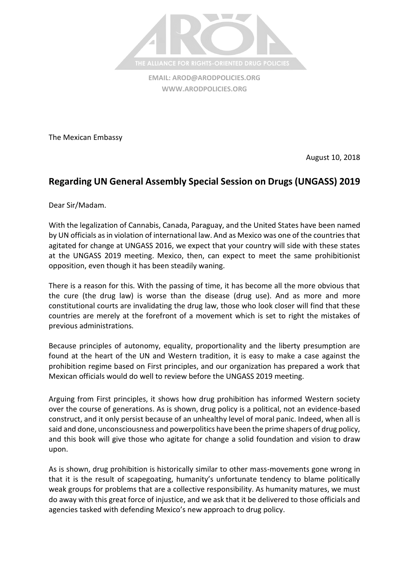

**EMAIL: [AROD@ARODPOLICIES.ORG](mailto:AROD@ARODPOLICIES.ORG) [WWW.ARODPOLICIES.ORG](http://www.arodpolicies.org/)**

The Mexican Embassy

August 10, 2018

## **Regarding UN General Assembly Special Session on Drugs (UNGASS) 2019**

Dear Sir/Madam.

With the legalization of Cannabis, Canada, Paraguay, and the United States have been named by UN officials as in violation of international law. And as Mexico was one of the countries that agitated for change at UNGASS 2016, we expect that your country will side with these states at the UNGASS 2019 meeting. Mexico, then, can expect to meet the same prohibitionist opposition, even though it has been steadily waning.

There is a reason for this. With the passing of time, it has become all the more obvious that the cure (the drug law) is worse than the disease (drug use). And as more and more constitutional courts are invalidating the drug law, those who look closer will find that these countries are merely at the forefront of a movement which is set to right the mistakes of previous administrations.

Because principles of autonomy, equality, proportionality and the liberty presumption are found at the heart of the UN and Western tradition, it is easy to make a case against the prohibition regime based on First principles, and our organization has prepared a work that Mexican officials would do well to review before the UNGASS 2019 meeting.

Arguing from First principles, it shows how drug prohibition has informed Western society over the course of generations. As is shown, drug policy is a political, not an evidence-based construct, and it only persist because of an unhealthy level of moral panic. Indeed, when all is said and done, unconsciousness and powerpolitics have been the prime shapers of drug policy, and this book will give those who agitate for change a solid foundation and vision to draw upon.

As is shown, drug prohibition is historically similar to other mass-movements gone wrong in that it is the result of scapegoating, humanity's unfortunate tendency to blame politically weak groups for problems that are a collective responsibility. As humanity matures, we must do away with this great force of injustice, and we ask that it be delivered to those officials and agencies tasked with defending Mexico's new approach to drug policy.